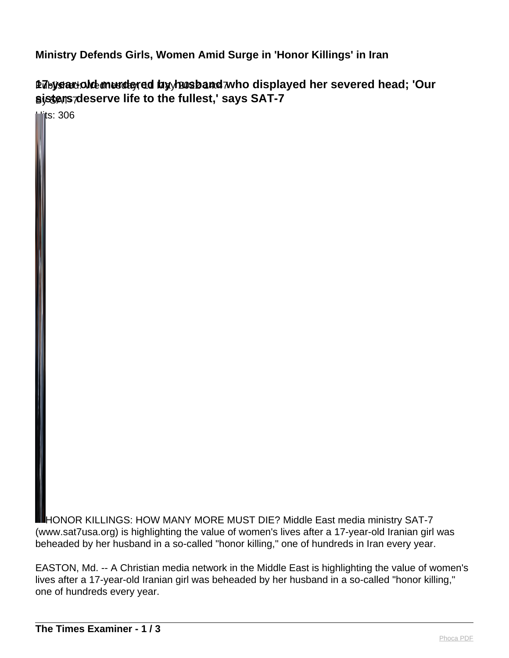**Ministry Defends Girls, Women Amid Surge in 'Honor Killings' in Iran**

Published: Wednesday, 11 May 2022 14:47 **17-year-old murdered by husband who displayed her severed head; 'Our** By SAT-7 **sisters deserve life to the fullest,' says SAT-7**

 $\overline{\textsf{m}}$ ts: 306

HONOR KILLINGS: HOW MANY MORE MUST DIE? Middle East media ministry SAT-7 (www.sat7usa.org) is highlighting the value of women's lives after a 17-year-old Iranian girl was beheaded by her husband in a so-called "honor killing," one of hundreds in Iran every year.

EASTON, Md. -- A Christian media network in the Middle East is highlighting the value of women's lives after a 17-year-old Iranian girl was beheaded by her husband in a so-called "honor killing," one of hundreds every year.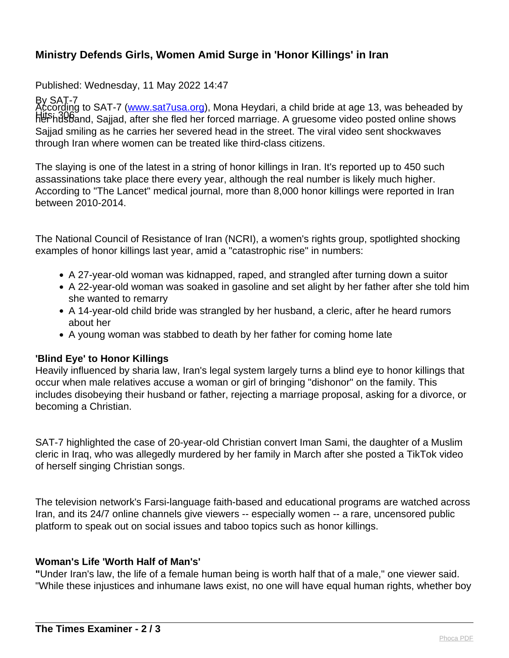# **Ministry Defends Girls, Women Amid Surge in 'Honor Killings' in Iran**

Published: Wednesday, 11 May 2022 14:47

By SAT-7 Hits: 306<br>her husband, Sajjad, after she fled her forced marriage. A gruesome video posted online shows According to SAT-7 ([www.sat7usa.org\)](http://www.sat7usa.org/), Mona Heydari, a child bride at age 13, was beheaded by Sajjad smiling as he carries her severed head in the street. The viral video sent shockwaves through Iran where women can be treated like third-class citizens.

The slaying is one of the latest in a string of honor killings in Iran. It's reported up to 450 such assassinations take place there every year, although the real number is likely much higher. According to "The Lancet" medical journal, more than 8,000 honor killings were reported in Iran between 2010-2014.

The National Council of Resistance of Iran (NCRI), a women's rights group, spotlighted shocking examples of honor killings last year, amid a "catastrophic rise" in numbers:

- A 27-year-old woman was kidnapped, raped, and strangled after turning down a suitor
- A 22-year-old woman was soaked in gasoline and set alight by her father after she told him she wanted to remarry
- A 14-year-old child bride was strangled by her husband, a cleric, after he heard rumors about her
- A young woman was stabbed to death by her father for coming home late

## **'Blind Eye' to Honor Killings**

Heavily influenced by sharia law, Iran's legal system largely turns a blind eye to honor killings that occur when male relatives accuse a woman or girl of bringing "dishonor" on the family. This includes disobeying their husband or father, rejecting a marriage proposal, asking for a divorce, or becoming a Christian.

SAT-7 highlighted the case of 20-year-old Christian convert Iman Sami, the daughter of a Muslim cleric in Iraq, who was allegedly murdered by her family in March after she posted a TikTok video of herself singing Christian songs.

The television network's Farsi-language faith-based and educational programs are watched across Iran, and its 24/7 online channels give viewers -- especially women -- a rare, uncensored public platform to speak out on social issues and taboo topics such as honor killings.

## **Woman's Life 'Worth Half of Man's'**

**"**Under Iran's law, the life of a female human being is worth half that of a male," one viewer said. "While these injustices and inhumane laws exist, no one will have equal human rights, whether boy